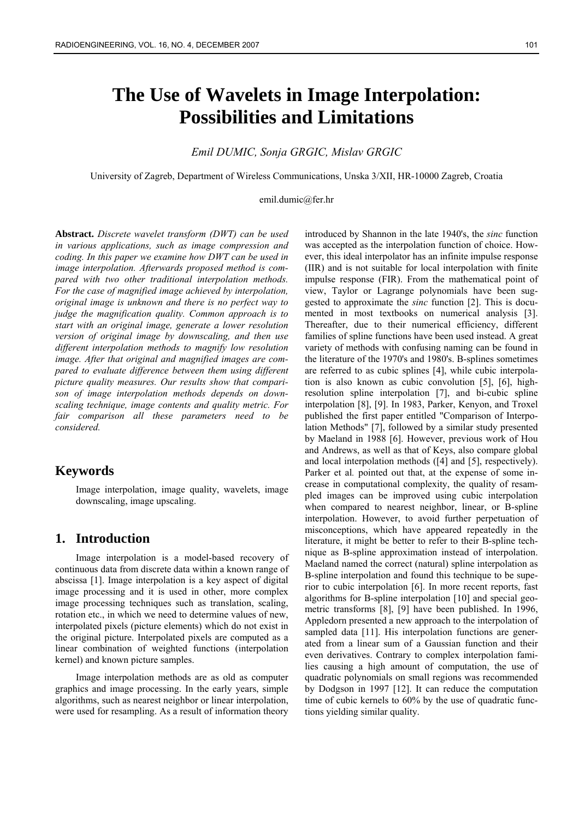# **The Use of Wavelets in Image Interpolation: Possibilities and Limitations**

### *Emil DUMIC, Sonja GRGIC, Mislav GRGIC*

University of Zagreb, Department of Wireless Communications, Unska 3/XII, HR-10000 Zagreb, Croatia

#### emil.dumic@fer.hr

**Abstract.** *Discrete wavelet transform (DWT) can be used in various applications, such as image compression and coding. In this paper we examine how DWT can be used in image interpolation. Afterwards proposed method is compared with two other traditional interpolation methods. For the case of magnified image achieved by interpolation, original image is unknown and there is no perfect way to judge the magnification quality. Common approach is to start with an original image, generate a lower resolution version of original image by downscaling, and then use different interpolation methods to magnify low resolution image. After that original and magnified images are compared to evaluate difference between them using different picture quality measures. Our results show that comparison of image interpolation methods depends on downscaling technique, image contents and quality metric. For fair comparison all these parameters need to be considered.* 

### **Keywords**

Image interpolation, image quality, wavelets, image downscaling, image upscaling.

### **1. Introduction**

Image interpolation is a model-based recovery of continuous data from discrete data within a known range of abscissa [1]. Image interpolation is a key aspect of digital image processing and it is used in other, more complex image processing techniques such as translation, scaling, rotation etc., in which we need to determine values of new, interpolated pixels (picture elements) which do not exist in the original picture. Interpolated pixels are computed as a linear combination of weighted functions (interpolation kernel) and known picture samples.

Image interpolation methods are as old as computer graphics and image processing. In the early years, simple algorithms, such as nearest neighbor or linear interpolation, were used for resampling. As a result of information theory

introduced by Shannon in the late 1940's, the *sinc* function was accepted as the interpolation function of choice. However, this ideal interpolator has an infinite impulse response (IIR) and is not suitable for local interpolation with finite impulse response (FIR). From the mathematical point of view, Taylor or Lagrange polynomials have been suggested to approximate the *sinc* function [2]. This is documented in most textbooks on numerical analysis [3]. Thereafter, due to their numerical efficiency, different families of spline functions have been used instead. A great variety of methods with confusing naming can be found in the literature of the 1970's and 1980's. B-splines sometimes are referred to as cubic splines [4], while cubic interpolation is also known as cubic convolution [5], [6], highresolution spline interpolation [7], and bi-cubic spline interpolation [8], [9]. In 1983, Parker, Kenyon, and Troxel published the first paper entitled "Comparison of Interpolation Methods" [7], followed by a similar study presented by Maeland in 1988 [6]. However, previous work of Hou and Andrews, as well as that of Keys, also compare global and local interpolation methods ([4] and [5], respectively). Parker et al. pointed out that, at the expense of some increase in computational complexity, the quality of resampled images can be improved using cubic interpolation when compared to nearest neighbor, linear, or B-spline interpolation. However, to avoid further perpetuation of misconceptions, which have appeared repeatedly in the literature, it might be better to refer to their B-spline technique as B-spline approximation instead of interpolation. Maeland named the correct (natural) spline interpolation as B-spline interpolation and found this technique to be superior to cubic interpolation [6]. In more recent reports, fast algorithms for B-spline interpolation [10] and special geometric transforms [8], [9] have been published. In 1996, Appledorn presented a new approach to the interpolation of sampled data [11]. His interpolation functions are generated from a linear sum of a Gaussian function and their even derivatives. Contrary to complex interpolation families causing a high amount of computation, the use of quadratic polynomials on small regions was recommended by Dodgson in 1997 [12]. It can reduce the computation time of cubic kernels to 60% by the use of quadratic functions yielding similar quality.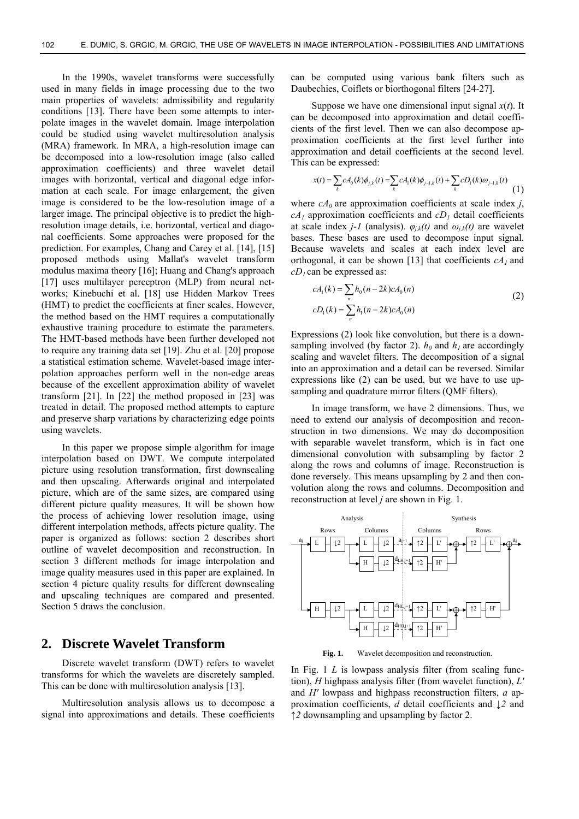In the 1990s, wavelet transforms were successfully used in many fields in image processing due to the two main properties of wavelets: admissibility and regularity conditions [13]. There have been some attempts to interpolate images in the wavelet domain. Image interpolation could be studied using wavelet multiresolution analysis (MRA) framework. In MRA, a high-resolution image can be decomposed into a low-resolution image (also called approximation coefficients) and three wavelet detail images with horizontal, vertical and diagonal edge information at each scale. For image enlargement, the given image is considered to be the low-resolution image of a larger image. The principal objective is to predict the highresolution image details, i.e. horizontal, vertical and diagonal coefficients. Some approaches were proposed for the prediction. For examples, Chang and Carey et al. [14], [15] proposed methods using Mallat's wavelet transform modulus maxima theory [16]; Huang and Chang's approach [17] uses multilayer perceptron (MLP) from neural networks; Kinebuchi et al. [18] use Hidden Markov Trees (HMT) to predict the coefficients at finer scales. However, the method based on the HMT requires a computationally exhaustive training procedure to estimate the parameters. The HMT-based methods have been further developed not to require any training data set [19]. Zhu et al. [20] propose a statistical estimation scheme. Wavelet-based image interpolation approaches perform well in the non-edge areas because of the excellent approximation ability of wavelet transform [21]. In [22] the method proposed in [23] was treated in detail. The proposed method attempts to capture and preserve sharp variations by characterizing edge points using wavelets.

In this paper we propose simple algorithm for image interpolation based on DWT. We compute interpolated picture using resolution transformation, first downscaling and then upscaling. Afterwards original and interpolated picture, which are of the same sizes, are compared using different picture quality measures. It will be shown how the process of achieving lower resolution image, using different interpolation methods, affects picture quality. The paper is organized as follows: section 2 describes short outline of wavelet decomposition and reconstruction. In section 3 different methods for image interpolation and image quality measures used in this paper are explained. In section 4 picture quality results for different downscaling and upscaling techniques are compared and presented. Section 5 draws the conclusion.

# **2. Discrete Wavelet Transform**

Discrete wavelet transform (DWT) refers to wavelet transforms for which the wavelets are discretely sampled. This can be done with multiresolution analysis [13].

Multiresolution analysis allows us to decompose a signal into approximations and details. These coefficients can be computed using various bank filters such as Daubechies, Coiflets or biorthogonal filters [24-27].

Suppose we have one dimensional input signal  $x(t)$ . It can be decomposed into approximation and detail coefficients of the first level. Then we can also decompose approximation coefficients at the first level further into approximation and detail coefficients at the second level. This can be expressed:

$$
x(t) = \sum_{k} cA_0(k)\phi_{j,k}(t) = \sum_{k} cA_1(k)\phi_{j-1,k}(t) + \sum_{k} cD_1(k)\omega_{j-1,k}(t)
$$
(1)

where  $cA_0$  are approximation coefficients at scale index *j*,  $cA_1$  approximation coefficients and  $cD_1$  detail coefficients at scale index *j*-*l* (analysis).  $\varphi_{j,k}(t)$  and  $\omega_{j,k}(t)$  are wavelet bases. These bases are used to decompose input signal. Because wavelets and scales at each index level are orthogonal, it can be shown [13] that coefficients  $cA_1$  and  $cD_1$  can be expressed as:

$$
cA_1(k) = \sum_{n} h_0(n - 2k)cA_0(n)
$$
  
\n
$$
cD_1(k) = \sum_{n} h_1(n - 2k)cA_0(n)
$$
\n(2)

Expressions (2) look like convolution, but there is a downsampling involved (by factor 2).  $h_0$  and  $h_1$  are accordingly scaling and wavelet filters. The decomposition of a signal into an approximation and a detail can be reversed. Similar expressions like (2) can be used, but we have to use upsampling and quadrature mirror filters (QMF filters).

In image transform, we have 2 dimensions. Thus, we need to extend our analysis of decomposition and reconstruction in two dimensions. We may do decomposition with separable wavelet transform, which is in fact one dimensional convolution with subsampling by factor 2 along the rows and columns of image. Reconstruction is done reversely. This means upsampling by 2 and then convolution along the rows and columns. Decomposition and reconstruction at level *j* are shown in Fig. 1.



**Fig. 1.** Wavelet decomposition and reconstruction.

In Fig. 1 *L* is lowpass analysis filter (from scaling function), *H* highpass analysis filter (from wavelet function), *L'* and *H'* lowpass and highpass reconstruction filters, *a* approximation coefficients, *d* detail coefficients and *↓2* and *↑2* downsampling and upsampling by factor 2.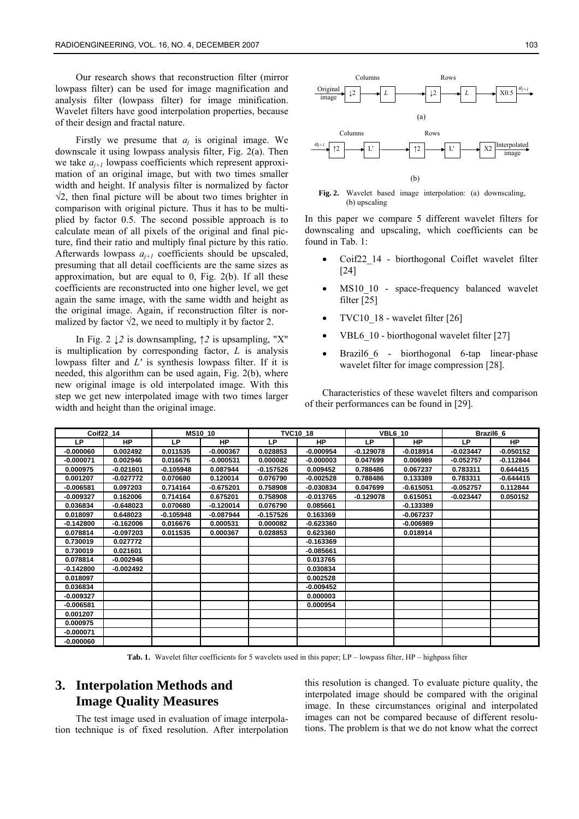Our research shows that reconstruction filter (mirror lowpass filter) can be used for image magnification and analysis filter (lowpass filter) for image minification. Wavelet filters have good interpolation properties, because of their design and fractal nature.

Firstly we presume that  $a_i$  is original image. We downscale it using lowpass analysis filter, Fig. 2(a). Then we take  $a_{i+1}$  lowpass coefficients which represent approximation of an original image, but with two times smaller width and height. If analysis filter is normalized by factor  $\sqrt{2}$ , then final picture will be about two times brighter in comparison with original picture. Thus it has to be multiplied by factor 0.5. The second possible approach is to calculate mean of all pixels of the original and final picture, find their ratio and multiply final picture by this ratio. Afterwards lowpass  $a_{i+1}$  coefficients should be upscaled, presuming that all detail coefficients are the same sizes as approximation, but are equal to 0, Fig. 2(b). If all these coefficients are reconstructed into one higher level, we get again the same image, with the same width and height as the original image. Again, if reconstruction filter is normalized by factor  $\sqrt{2}$ , we need to multiply it by factor 2.

In Fig. 2 *↓2* is downsampling, ↑*2* is upsampling, "X" is multiplication by corresponding factor, *L* is analysis lowpass filter and *L'* is synthesis lowpass filter. If it is needed, this algorithm can be used again, Fig. 2(b), where new original image is old interpolated image. With this step we get new interpolated image with two times larger width and height than the original image.



**Fig. 2.** Wavelet based image interpolation: (a) downscaling, (b) upscaling

In this paper we compare 5 different wavelet filters for downscaling and upscaling, which coefficients can be found in Tab. 1:

- Coif22\_14 biorthogonal Coiflet wavelet filter [24]
- MS10 10 space-frequency balanced wavelet filter [25]
- TVC10\_18 wavelet filter [26]
- VBL6 10 biorthogonal wavelet filter [27]
- Brazil6 6 biorthogonal 6-tap linear-phase wavelet filter for image compression [28].

Characteristics of these wavelet filters and comparison of their performances can be found in [29].

| Coif22 14   |             |             | <b>MS10 10</b> |             | <b>TVC10 18</b> |             | <b>VBL6 10</b> | Brazil <sub>6</sub> 6 |             |  |
|-------------|-------------|-------------|----------------|-------------|-----------------|-------------|----------------|-----------------------|-------------|--|
| <b>LP</b>   | <b>HP</b>   | LP          | <b>HP</b>      | LP          | <b>HP</b>       | LP          | <b>HP</b>      | LP                    | <b>HP</b>   |  |
| -0.000060   | 0.002492    | 0.011535    | $-0.000367$    | 0.028853    | $-0.000954$     | $-0.129078$ | $-0.018914$    | $-0.023447$           | $-0.050152$ |  |
| $-0.000071$ | 0.002946    | 0.016676    | $-0.000531$    | 0.000082    | $-0.000003$     | 0.047699    | 0.006989       | $-0.052757$           | $-0.112844$ |  |
| 0.000975    | $-0.021601$ | $-0.105948$ | 0.087944       | $-0.157526$ | 0.009452        | 0.788486    | 0.067237       | 0.783311              | 0.644415    |  |
| 0.001207    | $-0.027772$ | 0.070680    | 0.120014       | 0.076790    | $-0.002528$     | 0.788486    | 0.133389       | 0.783311              | $-0.644415$ |  |
| $-0.006581$ | 0.097203    | 0.714164    | $-0.675201$    | 0.758908    | $-0.030834$     | 0.047699    | $-0.615051$    | $-0.052757$           | 0.112844    |  |
| $-0.009327$ | 0.162006    | 0.714164    | 0.675201       | 0.758908    | $-0.013765$     | $-0.129078$ | 0.615051       | $-0.023447$           | 0.050152    |  |
| 0.036834    | $-0.648023$ | 0.070680    | $-0.120014$    | 0.076790    | 0.085661        |             | $-0.133389$    |                       |             |  |
| 0.018097    | 0.648023    | $-0.105948$ | $-0.087944$    | $-0.157526$ | 0.163369        |             | $-0.067237$    |                       |             |  |
| $-0.142800$ | $-0.162006$ | 0.016676    | 0.000531       | 0.000082    | $-0.623360$     |             | $-0.006989$    |                       |             |  |
| 0.078814    | $-0.097203$ | 0.011535    | 0.000367       | 0.028853    | 0.623360        |             | 0.018914       |                       |             |  |
| 0.730019    | 0.027772    |             |                |             | $-0.163369$     |             |                |                       |             |  |
| 0.730019    | 0.021601    |             |                |             | $-0.085661$     |             |                |                       |             |  |
| 0.078814    | $-0.002946$ |             |                |             | 0.013765        |             |                |                       |             |  |
| $-0.142800$ | $-0.002492$ |             |                |             | 0.030834        |             |                |                       |             |  |
| 0.018097    |             |             |                |             | 0.002528        |             |                |                       |             |  |
| 0.036834    |             |             |                |             | $-0.009452$     |             |                |                       |             |  |
| -0.009327   |             |             |                |             | 0.000003        |             |                |                       |             |  |
| $-0.006581$ |             |             |                |             | 0.000954        |             |                |                       |             |  |
| 0.001207    |             |             |                |             |                 |             |                |                       |             |  |
| 0.000975    |             |             |                |             |                 |             |                |                       |             |  |
| $-0.000071$ |             |             |                |             |                 |             |                |                       |             |  |
| $-0.000060$ |             |             |                |             |                 |             |                |                       |             |  |

**Tab. 1.** Wavelet filter coefficients for 5 wavelets used in this paper; LP – lowpass filter, HP – highpass filter

# **3. Interpolation Methods and Image Quality Measures**

The test image used in evaluation of image interpolation technique is of fixed resolution. After interpolation this resolution is changed. To evaluate picture quality, the interpolated image should be compared with the original image. In these circumstances original and interpolated images can not be compared because of different resolutions. The problem is that we do not know what the correct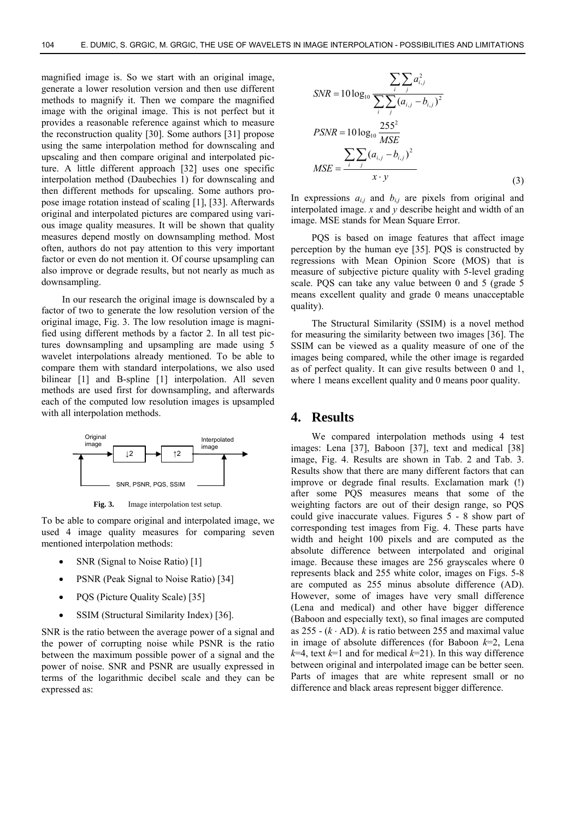magnified image is. So we start with an original image, generate a lower resolution version and then use different methods to magnify it. Then we compare the magnified image with the original image. This is not perfect but it provides a reasonable reference against which to measure the reconstruction quality [30]. Some authors [31] propose using the same interpolation method for downscaling and upscaling and then compare original and interpolated picture. A little different approach [32] uses one specific interpolation method (Daubechies 1) for downscaling and then different methods for upscaling. Some authors propose image rotation instead of scaling [1], [33]. Afterwards original and interpolated pictures are compared using various image quality measures. It will be shown that quality measures depend mostly on downsampling method. Most often, authors do not pay attention to this very important factor or even do not mention it. Of course upsampling can also improve or degrade results, but not nearly as much as downsampling.

In our research the original image is downscaled by a factor of two to generate the low resolution version of the original image, Fig. 3. The low resolution image is magnified using different methods by a factor 2. In all test pictures downsampling and upsampling are made using 5 wavelet interpolations already mentioned. To be able to compare them with standard interpolations, we also used bilinear [1] and B-spline [1] interpolation. All seven methods are used first for downsampling, and afterwards each of the computed low resolution images is upsampled with all interpolation methods.



**Fig. 3.** Image interpolation test setup.

To be able to compare original and interpolated image, we used 4 image quality measures for comparing seven mentioned interpolation methods:

- SNR (Signal to Noise Ratio) [1]
- PSNR (Peak Signal to Noise Ratio) [34]
- PQS (Picture Quality Scale) [35]
- SSIM (Structural Similarity Index) [36].

SNR is the ratio between the average power of a signal and the power of corrupting noise while PSNR is the ratio between the maximum possible power of a signal and the power of noise. SNR and PSNR are usually expressed in terms of the logarithmic decibel scale and they can be expressed as:

$$
SNR = 10 \log_{10} \frac{\sum_{i} \sum_{j} a_{i,j}^{2}}{\sum_{i} \sum_{j} (a_{i,j} - b_{i,j})^{2}}
$$
  
\n
$$
PSNR = 10 \log_{10} \frac{255^{2}}{MSE}
$$
  
\n
$$
\sum_{i} \sum_{j} (a_{i,j} - b_{i,j})^{2}
$$
  
\n
$$
MSE = \frac{\sum_{i} \sum_{j} (a_{i,j} - b_{i,j})^{2}}{x \cdot y}
$$
 (3)

In expressions  $a_{i,j}$  and  $b_{i,j}$  are pixels from original and interpolated image. *x* and *y* describe height and width of an image. MSE stands for Mean Square Error.

PQS is based on image features that affect image perception by the human eye [35]. PQS is constructed by regressions with Mean Opinion Score (MOS) that is measure of subjective picture quality with 5-level grading scale. PQS can take any value between 0 and 5 (grade 5 means excellent quality and grade 0 means unacceptable quality).

The Structural Similarity (SSIM) is a novel method for measuring the similarity between two images [36]. The SSIM can be viewed as a quality measure of one of the images being compared, while the other image is regarded as of perfect quality. It can give results between 0 and 1, where 1 means excellent quality and 0 means poor quality.

### **4. Results**

We compared interpolation methods using 4 test images: Lena [37], Baboon [37], text and medical [38] image, Fig. 4. Results are shown in Tab. 2 and Tab. 3. Results show that there are many different factors that can improve or degrade final results. Exclamation mark (!) after some PQS measures means that some of the weighting factors are out of their design range, so PQS could give inaccurate values. Figures 5 - 8 show part of corresponding test images from Fig. 4. These parts have width and height 100 pixels and are computed as the absolute difference between interpolated and original image. Because these images are 256 grayscales where 0 represents black and 255 white color, images on Figs. 5-8 are computed as 255 minus absolute difference (AD). However, some of images have very small difference (Lena and medical) and other have bigger difference (Baboon and especially text), so final images are computed as  $255 - (k \cdot AD)$ . *k* is ratio between 255 and maximal value in image of absolute differences (for Baboon *k*=2, Lena  $k=4$ , text  $k=1$  and for medical  $k=21$ ). In this way difference between original and interpolated image can be better seen. Parts of images that are white represent small or no difference and black areas represent bigger difference.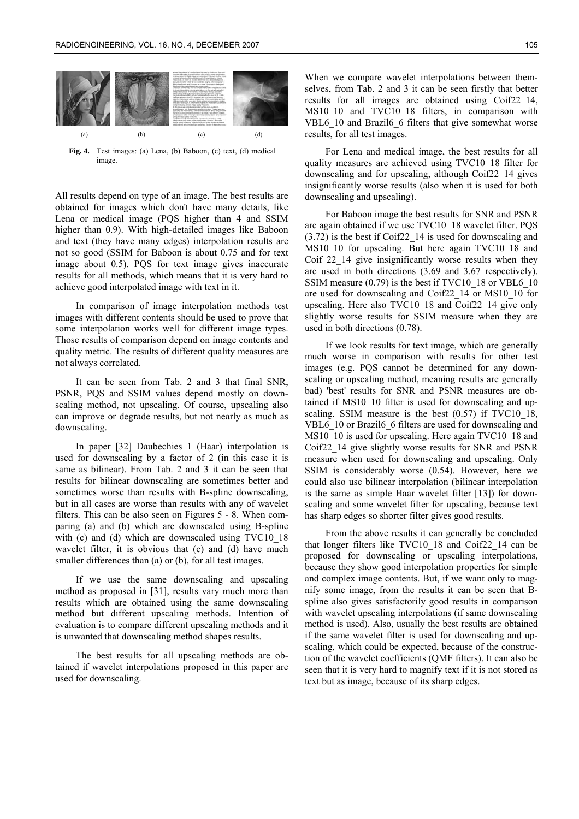

**Fig. 4.** Test images: (a) Lena, (b) Baboon, (c) text, (d) medical image.

All results depend on type of an image. The best results are obtained for images which don't have many details, like Lena or medical image (PQS higher than 4 and SSIM higher than 0.9). With high-detailed images like Baboon and text (they have many edges) interpolation results are not so good (SSIM for Baboon is about 0.75 and for text image about 0.5). PQS for text image gives inaccurate results for all methods, which means that it is very hard to achieve good interpolated image with text in it.

In comparison of image interpolation methods test images with different contents should be used to prove that some interpolation works well for different image types. Those results of comparison depend on image contents and quality metric. The results of different quality measures are not always correlated.

It can be seen from Tab. 2 and 3 that final SNR, PSNR, PQS and SSIM values depend mostly on downscaling method, not upscaling. Of course, upscaling also can improve or degrade results, but not nearly as much as downscaling.

In paper [32] Daubechies 1 (Haar) interpolation is used for downscaling by a factor of 2 (in this case it is same as bilinear). From Tab. 2 and 3 it can be seen that results for bilinear downscaling are sometimes better and sometimes worse than results with B-spline downscaling, but in all cases are worse than results with any of wavelet filters. This can be also seen on Figures 5 - 8. When comparing (a) and (b) which are downscaled using B-spline with (c) and (d) which are downscaled using TVC10\_18 wavelet filter, it is obvious that (c) and (d) have much smaller differences than (a) or (b), for all test images.

If we use the same downscaling and upscaling method as proposed in [31], results vary much more than results which are obtained using the same downscaling method but different upscaling methods. Intention of evaluation is to compare different upscaling methods and it is unwanted that downscaling method shapes results.

The best results for all upscaling methods are obtained if wavelet interpolations proposed in this paper are used for downscaling.

When we compare wavelet interpolations between themselves, from Tab. 2 and 3 it can be seen firstly that better results for all images are obtained using Coif22\_14, MS10\_10\_and TVC10\_18\_filters, in comparison with VBL6 10 and Brazil6 6 filters that give somewhat worse results, for all test images.

For Lena and medical image, the best results for all quality measures are achieved using TVC10\_18 filter for downscaling and for upscaling, although Coif22\_14 gives insignificantly worse results (also when it is used for both downscaling and upscaling).

For Baboon image the best results for SNR and PSNR are again obtained if we use TVC10\_18 wavelet filter. PQS (3.72) is the best if Coif22\_14 is used for downscaling and MS10 10 for upscaling. But here again TVC10 18 and Coif 22\_14 give insignificantly worse results when they are used in both directions (3.69 and 3.67 respectively). SSIM measure (0.79) is the best if TVC10 18 or VBL6 10 are used for downscaling and Coif22\_14 or MS10\_10 for upscaling. Here also TVC10\_18 and Coif22\_14 give only slightly worse results for SSIM measure when they are used in both directions (0.78).

If we look results for text image, which are generally much worse in comparison with results for other test images (e.g. PQS cannot be determined for any downscaling or upscaling method, meaning results are generally bad) 'best' results for SNR and PSNR measures are obtained if MS10\_10 filter is used for downscaling and upscaling. SSIM measure is the best (0.57) if TVC10\_18, VBL6 10 or Brazil6 6 filters are used for downscaling and MS10 10 is used for upscaling. Here again TVC10 18 and Coif22\_14 give slightly worse results for SNR and PSNR measure when used for downscaling and upscaling. Only SSIM is considerably worse (0.54). However, here we could also use bilinear interpolation (bilinear interpolation is the same as simple Haar wavelet filter [13]) for downscaling and some wavelet filter for upscaling, because text has sharp edges so shorter filter gives good results.

From the above results it can generally be concluded that longer filters like TVC10\_18 and Coif22\_14 can be proposed for downscaling or upscaling interpolations, because they show good interpolation properties for simple and complex image contents. But, if we want only to magnify some image, from the results it can be seen that Bspline also gives satisfactorily good results in comparison with wavelet upscaling interpolations (if same downscaling method is used). Also, usually the best results are obtained if the same wavelet filter is used for downscaling and upscaling, which could be expected, because of the construction of the wavelet coefficients (QMF filters). It can also be seen that it is very hard to magnify text if it is not stored as text but as image, because of its sharp edges.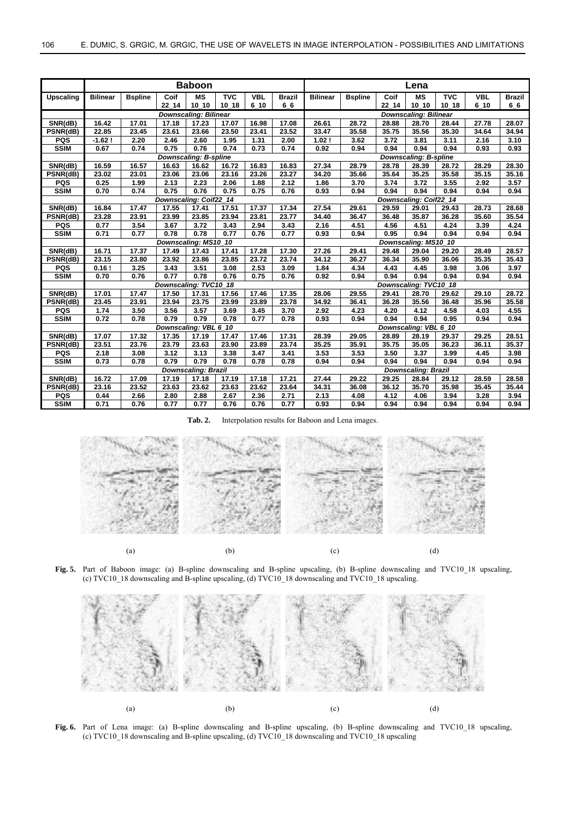|                              | <b>Baboon</b>                                        |                |                        |                      |                    |            |               | Lena                                                 |                              |       |                        |            |            |               |  |
|------------------------------|------------------------------------------------------|----------------|------------------------|----------------------|--------------------|------------|---------------|------------------------------------------------------|------------------------------|-------|------------------------|------------|------------|---------------|--|
| Upscaling                    | <b>Bilinear</b>                                      | <b>Bspline</b> | Coif                   | <b>MS</b>            | <b>TVC</b>         | <b>VBL</b> | <b>Brazil</b> | <b>Bilinear</b>                                      | <b>Bspline</b>               | Coif  | MS                     | <b>TVC</b> | <b>VBL</b> | <b>Brazil</b> |  |
|                              |                                                      |                | 22 14                  | 10 10                | $10_18$            | 6 10       | 66            |                                                      |                              | 22 14 | 10 10                  | 10 18      | $6_1$ 10   | 66            |  |
|                              | <b>Downscaling: Bilinear</b>                         |                |                        |                      |                    |            |               |                                                      | <b>Downscaling: Bilinear</b> |       |                        |            |            |               |  |
| SNR(dB)                      | 16.42                                                | 17.01          | 17.18                  | 17.23                | 17.07              | 16.98      | 17.08         | 26.61                                                | 28.72                        | 28.88 | 28.70                  | 28.44      | 27.78      | 28.07         |  |
| PSNR(dB)                     | 22.85                                                | 23.45          | 23.61                  | 23.66                | 23.50              | 23.41      | 23.52         | 33.47                                                | 35.58                        | 35.75 | 35.56                  | 35.30      | 34.64      | 34.94         |  |
| <b>PQS</b>                   | $-1.62!$                                             | 2.20           | 2.46                   | 2.60                 | 1.95               | 1.31       | 2.00          | 1.02!                                                | 3.62                         | 3.72  | 3.81                   | 3.11       | 2.16       | 3.10          |  |
| <b>SSIM</b>                  | 0.67                                                 | 0.74           | 0.75                   | 0.76                 | 0.74               | 0.73       | 0.74          | 0.92                                                 | 0.94                         | 0.94  | 0.94                   | 0.94       | 0.93       | 0.93          |  |
|                              | <b>Downscaling: B-spline</b>                         |                |                        |                      |                    |            |               |                                                      | <b>Downscaling: B-spline</b> |       |                        |            |            |               |  |
| SNR(dB)                      | 16.59                                                | 16.57          | 16.63                  | 16.62                | 16.72              | 16.83      | 16.83         | 27.34                                                | 28.79                        | 28.78 | 28.39                  | 28.72      | 28.29      | 28.30         |  |
| PSNR(dB)                     | 23.02                                                | 23.01          | 23.06                  | 23.06                | 23.16              | 23.26      | 23.27         | 34.20                                                | 35.66                        | 35.64 | 35.25                  | 35.58      | 35.15      | 35.16         |  |
| <b>PQS</b>                   | 0.25                                                 | 1.99           | 2.13                   | 2.23                 | 2.06               | 1.88       | 2.12          | 1.86                                                 | 3.70                         | 3.74  | 3.72                   | 3.55       | 2.92       | 3.57          |  |
| <b>SSIM</b>                  | 0.70                                                 | 0.74           | 0.75                   | 0.76                 | 0.75               | 0.75       | 0.76          | 0.93                                                 | 0.94                         | 0.94  | 0.94                   | 0.94       | 0.94       | 0.94          |  |
|                              |                                                      |                | Downscaling: Coif22_14 |                      |                    |            |               |                                                      |                              |       | Downscaling: Coif22 14 |            |            |               |  |
| SNR(dB)                      | 16.84                                                | 17.47          | 17.55                  | 17.41                | 17.51              | 17.37      | 17.34         | 27.54                                                | 29.61                        | 29.59 | 29.01                  | 29.43      | 28.73      | 28.68         |  |
| PSNR(dB)                     | 23.28                                                | 23.91          | 23.99                  | 23.85                | 23.94              | 23.81      | 23.77         | 34.40                                                | 36.47                        | 36.48 | 35.87                  | 36.28      | 35.60      | 35.54         |  |
| <b>PQS</b>                   | 0.77                                                 | 3.54           | 3.67                   | 3.72                 | 3.43               | 2.94       | 3.43          | 2.16                                                 | 4.51                         | 4.56  | 4.51                   | 4.24       | 3.39       | 4.24          |  |
| <b>SSIM</b>                  | 0.71                                                 | 0.77           | 0.78                   | 0.78                 | 0.77               | 0.76       | 0.77          | 0.93                                                 | 0.94                         | 0.95  | 0.94                   | 0.94       | 0.94       | 0.94          |  |
|                              |                                                      |                |                        | Downscaling: MS10_10 |                    |            |               | Downscaling: MS10_10                                 |                              |       |                        |            |            |               |  |
| SNR(dB)                      | 16.71                                                | 17.37          | 17.49                  | 17.43                | 17.41              | 17.28      | 17.30         | 27.26                                                | 29.41                        | 29.48 | 29.04                  | 29.20      | 28.49      | 28.57         |  |
| PSNR(dB)                     | 23.15                                                | 23.80          | 23.92                  | 23.86                | $23.\overline{85}$ | 23.72      | 23.74         | 34.12                                                | 36.27                        | 36.34 | 35.90                  | 36.06      | 35.35      | 35.43         |  |
| <b>PQS</b>                   | 0.16!                                                | 3.25           | 3.43                   | 3.51                 | 3.08               | 2.53       | 3.09          | 1.84                                                 | 4.34                         | 4.43  | 4.45                   | 3.98       | 3.06       | 3.97          |  |
| <b>SSIM</b>                  | 0.70                                                 | 0.76           | 0.77                   | 0.78                 | 0.76               | 0.75       | 0.76          | 0.92                                                 | 0.94                         | 0.94  | 0.94                   | 0.94       | 0.94       | 0.94          |  |
|                              |                                                      |                | Downscaling: TVC10_18  |                      |                    |            |               | Downscaling: TVC10_18                                |                              |       |                        |            |            |               |  |
| $\overline{\text{SNR}}$ (dB) | 17.01                                                | 17.47          | 17.50                  | 17.31                | 17.56              | 17.46      | 17.35         | 28.06                                                | 29.55                        | 29.41 | 28.70                  | 29.62      | 29.10      | 28.72         |  |
| PSNR(dB)                     | 23.45                                                | 23.91          | 23.94                  | 23.75                | 23.99              | 23.89      | 23.78         | 34.92                                                | 36.41                        | 36.28 | 35.56                  | 36.48      | 35.96      | 35.58         |  |
| <b>PQS</b>                   | 1.74                                                 | 3.50           | 3.56                   | 3.57                 | 3.69               | 3.45       | 3.70          | 2.92                                                 | 4.23                         | 4.20  | 4.12                   | 4.58       | 4.03       | 4.55          |  |
| <b>SSIM</b>                  | 0.79<br>0.79<br>0.72<br>0.78<br>0.78<br>0.77<br>0.78 |                |                        |                      |                    |            |               | 0.94<br>0.94<br>0.93<br>0.95<br>0.94<br>0.94<br>0.94 |                              |       |                        |            |            |               |  |
|                              | Downscaling: VBL 6_10                                |                |                        |                      |                    |            |               |                                                      | Downscaling: VBL 6_10        |       |                        |            |            |               |  |
| SNR(dB)                      | 17.07                                                | 17.32          | 17.35                  | 17.19                | 17.47              | 17.46      | 17.31         | 28.39                                                | 29.05                        | 28.89 | 28.19                  | 29.37      | 29.25      | 28.51         |  |
| PSNR(dB)                     | 23.51                                                | 23.76          | 23.79                  | 23.63                | 23.90              | 23.89      | 23.74         | 35.25                                                | 35.91                        | 35.75 | 35.05                  | 36.23      | 36.11      | 35.37         |  |
| <b>PQS</b>                   | 2.18                                                 | 3.08           | 3.12                   | 3.13                 | 3.38               | 3.47       | 3.41          | 3.53                                                 | 3.53                         | 3.50  | 3.37                   | 3.99       | 4.45       | 3.98          |  |
| <b>SSIM</b>                  | 0.73                                                 | 0.78           | 0.79                   | 0.79                 | 0.78               | 0.78       | 0.78          | 0.94                                                 | 0.94                         | 0.94  | 0.94                   | 0.94       | 0.94       | 0.94          |  |
|                              | <b>Downscaling: Brazil</b>                           |                |                        |                      |                    |            |               | <b>Downscaling: Brazil</b>                           |                              |       |                        |            |            |               |  |
| SNR(dB)                      | 16.72                                                | 17.09          | 17.19                  | 17.18                | 17.19              | 17.18      | 17.21         | 27.44                                                | 29.22                        | 29.25 | 28.84                  | 29.12      | 28.59      | 28.58         |  |
| PSNR(dB)                     | 23.16                                                | 23.52          | 23.63                  | 23.62                | 23.63              | 23.62      | 23.64         | 34.31                                                | 36.08                        | 36.12 | 35.70                  | 35.98      | 35.45      | 35.44         |  |
| <b>PQS</b>                   | 0.44                                                 | 2.66           | 2.80                   | 2.88                 | 2.67               | 2.36       | 2.71          | 2.13                                                 | 4.08                         | 4.12  | 4.06                   | 3.94       | 3.28       | 3.94          |  |
| <b>SSIM</b>                  | 0.71                                                 | 0.76           | 0.77                   | 0.77                 | 0.76               | 0.76       | 0.77          | 0.93                                                 | 0.94                         | 0.94  | 0.94                   | 0.94       | 0.94       | 0.94          |  |

**Tab. 2.** Interpolation results for Baboon and Lena images.



**Fig. 5.** Part of Baboon image: (a) B-spline downscaling and B-spline upscaling, (b) B-spline downscaling and TVC10\_18 upscaling, (c) TVC10\_18 downscaling and B-spline upscaling, (d) TVC10\_18 downscaling and TVC10\_18 upscaling.



**Fig. 6.** Part of Lena image: (a) B-spline downscaling and B-spline upscaling, (b) B-spline downscaling and TVC10\_18 upscaling, (c) TVC10\_18 downscaling and B-spline upscaling, (d) TVC10\_18 downscaling and TVC10\_18 upscaling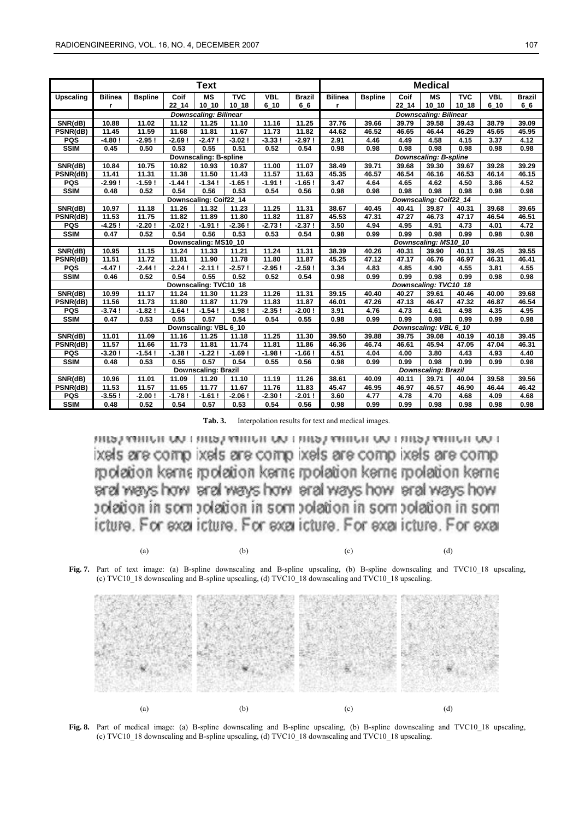|                  | <b>Text</b>                  |                |           |                        |            |            |               | <b>Medical</b>             |                              |       |                        |            |            |               |  |
|------------------|------------------------------|----------------|-----------|------------------------|------------|------------|---------------|----------------------------|------------------------------|-------|------------------------|------------|------------|---------------|--|
| <b>Upscaling</b> | <b>Bilinea</b>               | <b>Bspline</b> | Coif      | MS                     | <b>TVC</b> | <b>VBL</b> | <b>Brazil</b> | <b>Bilinea</b>             | <b>Bspline</b>               | Coif  | ΜS                     | <b>TVC</b> | <b>VBL</b> | <b>Brazil</b> |  |
|                  | r                            |                | $22 - 14$ | 10 10                  | 10 18      | 610        | 66            | r                          |                              | 22 14 | $10_10$                | $10_18$    | 610        | 66            |  |
|                  | <b>Downscaling: Bilinear</b> |                |           |                        |            |            |               |                            | <b>Downscaling: Bilinear</b> |       |                        |            |            |               |  |
| SNR(dB)          | 10.88                        | 11.02          | 11.12     | 11.25                  | 11.10      | 11.16      | 11.25         | 37.76                      | 39.66                        | 39.79 | 39.58                  | 39.43      | 38.79      | 39.09         |  |
| PSNR(dB)         | 11.45                        | 11.59          | 11.68     | 11.81                  | 11.67      | 11.73      | 11.82         | 44.62                      | 46.52                        | 46.65 | 46.44                  | 46.29      | 45.65      | 45.95         |  |
| <b>PQS</b>       | $-4.80!$                     | $-2.95$ !      | $-2.69$ ! | $-2.47!$               | $-3.02$ !  | $-3.33!$   | $-2.97!$      | 2.91                       | 4.46                         | 4.49  | 4.58                   | 4.15       | 3.37       | 4.12          |  |
| <b>SSIM</b>      | 0.45                         | 0.50           | 0.53      | 0.55                   | 0.51       | 0.52       | 0.54          | 0.98                       | 0.98                         | 0.98  | 0.98                   | 0.98       | 0.98       | 0.98          |  |
|                  | <b>Downscaling: B-spline</b> |                |           |                        |            |            |               |                            | <b>Downscaling: B-spline</b> |       |                        |            |            |               |  |
| SNR(dB)          | 10.84                        | 10.75          | 10.82     | 10.93                  | 10.87      | 11.00      | 11.07         | 38.49                      | 39.71                        | 39.68 | 39.30                  | 39.67      | 39.28      | 39.29         |  |
| PSNR(dB)         | 11.41                        | 11.31          | 11.38     | 11.50                  | 11.43      | 11.57      | 11.63         | 45.35                      | 46.57                        | 46.54 | 46.16                  | 46.53      | 46.14      | 46.15         |  |
| <b>PQS</b>       | $-2.99!$                     | $-1.59$ !      | $-1.44!$  | $-1.34!$               | $-1.65!$   | $-1.91$ !  | $-1.65!$      | 3.47                       | 4.64                         | 4.65  | 4.62                   | 4.50       | 3.86       | 4.52          |  |
| <b>SSIM</b>      | 0.48                         | 0.52           | 0.54      | 0.56                   | 0.53       | 0.54       | 0.56          | 0.98                       | 0.98                         | 0.98  | 0.98                   | 0.98       | 0.98       | 0.98          |  |
|                  |                              |                |           | Downscaling: Coif22_14 |            |            |               |                            |                              |       | Downscaling: Coif22_14 |            |            |               |  |
| SNR(dB)          | 10.97                        | 11.18          | 11.26     | 11.32                  | 11.23      | 11.25      | 11.31         | 38.67                      | 40.45                        | 40.41 | 39.87                  | 40.31      | 39.68      | 39.65         |  |
| PSNR(dB)         | 11.53                        | 11.75          | 11.82     | 11.89                  | 11.80      | 11.82      | 11.87         | 45.53                      | 47.31                        | 47.27 | 46.73                  | 47.17      | 46.54      | 46.51         |  |
| <b>PQS</b>       | $-4.25!$                     | $-2.20$ !      | $-2.02$ ! | $-1.91!$               | $-2.36$ !  | $-2.73!$   | $-2.37!$      | 3.50                       | 4.94                         | 4.95  | 4.91                   | 4.73       | 4.01       | 4.72          |  |
| <b>SSIM</b>      | 0.47                         | 0.52           | 0.54      | 0.56                   | 0.53       | 0.53       | 0.54          | 0.98                       | 0.99                         | 0.99  | 0.98                   | 0.99       | 0.98       | 0.98          |  |
|                  | Downscaling: MS10_10         |                |           |                        |            |            |               |                            | Downscaling: MS10_10         |       |                        |            |            |               |  |
| SNR(dB)          | 10.95                        | 11.15          | 11.24     | 11.33                  | 11.21      | 11.24      | 11.31         | 38.39                      | 40.26                        | 40.31 | 39.90                  | 40.11      | 39.45      | 39.55         |  |
| PSNR(dB)         | 11.51                        | 11.72          | 11.81     | 11.90                  | 11.78      | 11.80      | 11.87         | 45.25                      | 47.12                        | 47.17 | 46.76                  | 46.97      | 46.31      | 46.41         |  |
| <b>PQS</b>       | $-4.47!$                     | $-2.44!$       | $-2.24!$  | $-2.11!$               | $-2.57!$   | $-2.95!$   | $-2.59$ !     | 3.34                       | 4.83                         | 4.85  | 4.90                   | 4.55       | 3.81       | 4.55          |  |
| <b>SSIM</b>      | 0.46                         | 0.52           | 0.54      | 0.55                   | 0.52       | 0.52       | 0.54          | 0.98                       | 0.99                         | 0.99  | 0.98                   | 0.99       | 0.98       | 0.98          |  |
|                  | Downscaling: TVC10_18        |                |           |                        |            |            |               | Downscaling: TVC10_18      |                              |       |                        |            |            |               |  |
| SNR(dB)          | 10.99                        | 11.17          | 11.24     | 11.30                  | 11.23      | 11.26      | 11.31         | 39.15                      | 40.40                        | 40.27 | 39.61                  | 40.46      | 40.00      | 39.68         |  |
| PSNR(dB)         | 11.56                        | 11.73          | 11.80     | 11.87                  | 11.79      | 11.83      | 11.87         | 46.01                      | 47.26                        | 47.13 | 46.47                  | 47.32      | 46.87      | 46.54         |  |
| <b>PQS</b>       | $-3.74$ !                    | $-1.82$ !      | $-1.64!$  | $-1.54$ !              | $-1.98$    | $-2.35!$   | $-2.00!$      | 3.91                       | 4.76                         | 4.73  | 4.61                   | 4.98       | 4.35       | 4.95          |  |
| <b>SSIM</b>      | 0.47                         | 0.53           | 0.55      | 0.57                   | 0.54       | 0.54       | 0.55          | 0.98                       | 0.99                         | 0.99  | 0.98                   | 0.99       | 0.99       | 0.98          |  |
|                  | Downscaling: VBL 6_10        |                |           |                        |            |            |               |                            | Downscaling: VBL 6 10        |       |                        |            |            |               |  |
| SNR(dB)          | 11.01                        | 11.09          | 11.16     | 11.25                  | 11.18      | 11.25      | 11.30         | 39.50                      | 39.88                        | 39.75 | 39.08                  | 40.19      | 40.18      | 39.45         |  |
| PSNR(dB)         | 11.57                        | 11.66          | 11.73     | 11.81                  | 11.74      | 11.81      | 11.86         | 46.36                      | 46.74                        | 46.61 | 45.94                  | 47.05      | 47.04      | 46.31         |  |
| <b>PQS</b>       | $-3.20$ !                    | $-1.54$ !      | $-1.38$ ! | $-1.22!$               | $-1.69!$   | $-1.98!$   | $-1.66!$      | 4.51                       | 4.04                         | 4.00  | 3.80                   | 4.43       | 4.93       | 4.40          |  |
| <b>SSIM</b>      | 0.48                         | 0.53           | 0.55      | 0.57                   | 0.54       | 0.55       | 0.56          | 0.98                       | 0.99                         | 0.99  | 0.98                   | 0.99       | 0.99       | 0.98          |  |
|                  | <b>Downscaling: Brazil</b>   |                |           |                        |            |            |               | <b>Downscaling: Brazil</b> |                              |       |                        |            |            |               |  |
| SNR(dB)          | 10.96                        | 11.01          | 11.09     | 11.20                  | 11.10      | 11.19      | 11.26         | 38.61                      | 40.09                        | 40.11 | 39.71                  | 40.04      | 39.58      | 39.56         |  |
| PSNR(dB)         | 11.53                        | 11.57          | 11.65     | 11.77                  | 11.67      | 11.76      | 11.83         | 45.47                      | 46.95                        | 46.97 | 46.57                  | 46.90      | 46.44      | 46.42         |  |
| <b>PQS</b>       | $-3.55!$                     | $-2.00$ !      | $-1.78$ ! | $-1.61!$               | $-2.06$ !  | $-2.30$ !  | $-2.01!$      | 3.60                       | 4.77                         | 4.78  | 4.70                   | 4.68       | 4.09       | 4.68          |  |
| <b>SSIM</b>      | 0.48                         | 0.52           | 0.54      | 0.57                   | 0.53       | 0.54       | 0.56          | 0.98                       | 0.99                         | 0.99  | 0.98                   | 0.98       | 0.98       | 0.98          |  |

**Tab. 3.** Interpolation results for text and medical images.

RIPLE ARRIVE OF LIBRAL ARRIVE OF LIBRA ARRIVE OF LIBRA ARRIVE OF L ixels are comp ixels are comp ixels are comp ixels are comp rpolation kenne rpolation kenne rpolation kenne rpolation kenne arel ways how arel ways how arel ways how arel ways how polation in som polation in som polation in som polation in som icture. For exa icture. For exa icture. For exa icture. For exa

(a)  $(b)$   $(c)$   $(d)$ 

**Fig. 7.** Part of text image: (a) B-spline downscaling and B-spline upscaling, (b) B-spline downscaling and TVC10\_18 upscaling, (c) TVC10\_18 downscaling and B-spline upscaling, (d) TVC10\_18 downscaling and TVC10\_18 upscaling.



**Fig. 8.** Part of medical image: (a) B-spline downscaling and B-spline upscaling, (b) B-spline downscaling and TVC10\_18 upscaling, (c) TVC10\_18 downscaling and B-spline upscaling, (d) TVC10\_18 downscaling and TVC10\_18 upscaling.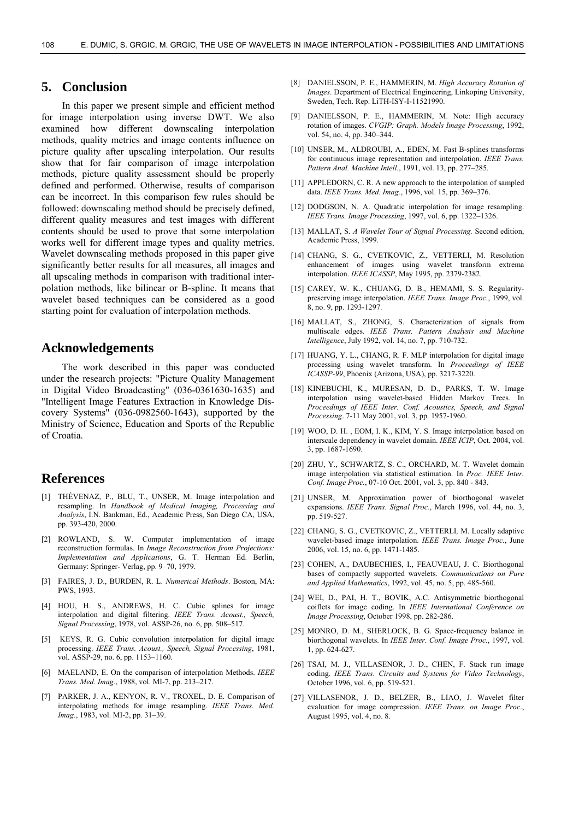### **5. Conclusion**

In this paper we present simple and efficient method for image interpolation using inverse DWT. We also examined how different downscaling interpolation methods, quality metrics and image contents influence on picture quality after upscaling interpolation. Our results show that for fair comparison of image interpolation methods, picture quality assessment should be properly defined and performed. Otherwise, results of comparison can be incorrect. In this comparison few rules should be followed: downscaling method should be precisely defined, different quality measures and test images with different contents should be used to prove that some interpolation works well for different image types and quality metrics. Wavelet downscaling methods proposed in this paper give significantly better results for all measures, all images and all upscaling methods in comparison with traditional interpolation methods, like bilinear or B-spline. It means that wavelet based techniques can be considered as a good starting point for evaluation of interpolation methods.

### **Acknowledgements**

The work described in this paper was conducted under the research projects: "Picture Quality Management in Digital Video Broadcasting" (036-0361630-1635) and "Intelligent Image Features Extraction in Knowledge Discovery Systems" (036-0982560-1643), supported by the Ministry of Science, Education and Sports of the Republic of Croatia.

### **References**

- [1] THÉVENAZ, P., BLU, T., UNSER, M. Image interpolation and resampling. In *Handbook of Medical Imaging, Processing and Analysis*, I.N. Bankman, Ed., Academic Press, San Diego CA, USA, pp. 393-420, 2000.
- [2] ROWLAND, S. W. Computer implementation of image reconstruction formulas. In *Image Reconstruction from Projections: Implementation and Applications*, G. T. Herman Ed. Berlin, Germany: Springer- Verlag, pp. 9–70, 1979.
- [3] FAIRES, J. D., BURDEN, R. L. *Numerical Methods*. Boston, MA: PWS, 1993.
- [4] HOU, H. S., ANDREWS, H. C. Cubic splines for image interpolation and digital filtering. *IEEE Trans. Acoust., Speech, Signal Processing*, 1978, vol. ASSP-26, no. 6, pp. 508–517.
- [5] KEYS, R. G. Cubic convolution interpolation for digital image processing. *IEEE Trans. Acoust., Speech, Signal Processing*, 1981, vol. ASSP-29, no. 6, pp. 1153–1160.
- [6] MAELAND, E. On the comparison of interpolation Methods. *IEEE Trans. Med. Imag.*, 1988, vol. MI-7, pp. 213–217.
- [7] PARKER, J. A., KENYON, R. V., TROXEL, D. E. Comparison of interpolating methods for image resampling. *IEEE Trans. Med. Imag.*, 1983, vol. MI-2, pp. 31–39.
- [8] DANIELSSON, P. E., HAMMERIN, M. *High Accuracy Rotation of Images*. Department of Electrical Engineering, Linkoping University, Sweden, Tech. Rep. LiTH-ISY-I-11521990.
- [9] DANIELSSON, P. E., HAMMERIN, M. Note: High accuracy rotation of images. *CVGIP: Graph. Models Image Processing*, 1992, vol. 54, no. 4, pp. 340–344.
- [10] UNSER, M., ALDROUBI, A., EDEN, M. Fast B-splines transforms for continuous image representation and interpolation. *IEEE Trans. Pattern Anal. Machine Intell.*, 1991, vol. 13, pp. 277–285.
- [11] APPLEDORN, C. R. A new approach to the interpolation of sampled data. *IEEE Trans. Med. Imag.*, 1996, vol. 15, pp. 369–376.
- [12] DODGSON, N. A. Quadratic interpolation for image resampling. *IEEE Trans. Image Processing*, 1997, vol. 6, pp. 1322–1326.
- [13] MALLAT, S. *A Wavelet Tour of Signal Processing.* Second edition, Academic Press, 1999.
- [14] CHANG, S. G., CVETKOVIC, Z., VETTERLI, M. Resolution enhancement of images using wavelet transform extrema interpolation. *IEEE ICASSP*, May 1995, pp. 2379-2382.
- [15] CAREY, W. K., CHUANG, D. B., HEMAMI, S. S. Regularitypreserving image interpolation. *IEEE Trans. Image Proc.*, 1999, vol. 8, no. 9, pp. 1293-1297.
- [16] MALLAT, S., ZHONG, S. Characterization of signals from multiscale edges. *IEEE Trans. Pattern Analysis and Machine Intelligence*, July 1992, vol. 14, no. 7, pp. 710-732.
- [17] HUANG, Y. L., CHANG, R. F. MLP interpolation for digital image processing using wavelet transform. In *Proceedings of IEEE ICASSP-99*, Phoenix (Arizona, USA), pp. 3217-3220.
- [18] KINEBUCHI, K., MURESAN, D. D., PARKS, T. W. Image interpolation using wavelet-based Hidden Markov Trees. In *Proceedings of IEEE Inter. Conf. Acoustics, Speech, and Signal Processing*. 7-11 May 2001, vol. 3, pp. 1957-1960.
- [19] WOO, D. H. , EOM, I. K., KIM, Y. S. Image interpolation based on interscale dependency in wavelet domain. *IEEE ICIP*, Oct. 2004, vol. 3, pp. 1687-1690.
- [20] ZHU, Y., SCHWARTZ, S. C., ORCHARD, M. T. Wavelet domain image interpolation via statistical estimation. In *Proc. IEEE Inter. Conf. Image Proc.*, 07-10 Oct. 2001, vol. 3, pp. 840 - 843.
- [21] UNSER, M. Approximation power of biorthogonal wavelet expansions. *IEEE Trans. Signal Proc.*, March 1996, vol. 44, no. 3, pp. 519-527.
- [22] CHANG, S. G., CVETKOVIC, Z., VETTERLI*,* M. Locally adaptive wavelet-based image interpolation. *IEEE Trans. Image Proc.*, June 2006, vol. 15, no. 6, pp. 1471-1485.
- [23] COHEN, A., DAUBECHIES, I., FEAUVEAU, J. C. Biorthogonal bases of compactly supported wavelets. *Communications on Pure and Applied Mathematics*, 1992, vol. 45, no. 5, pp. 485-560.
- [24] WEI, D., PAI, H. T., BOVIK, A.C. Antisymmetric biorthogonal coiflets for image coding. In *IEEE International Conference on Image Processing*, October 1998, pp. 282-286.
- [25] MONRO, D. M., SHERLOCK, B. G. Space-frequency balance in biorthogonal wavelets. In *IEEE Inter. Conf. Image Proc.*, 1997, vol. 1, pp. 624-627.
- [26] TSAI, M. J., VILLASENOR, J. D., CHEN, F. Stack run image coding. *IEEE Trans. Circuits and Systems for Video Technology*, October 1996, vol. 6, pp. 519-521.
- [27] VILLASENOR, J. D., BELZER, B., LIAO, J. Wavelet filter evaluation for image compression. *IEEE Trans. on Image Proc*., August 1995, vol. 4, no. 8.